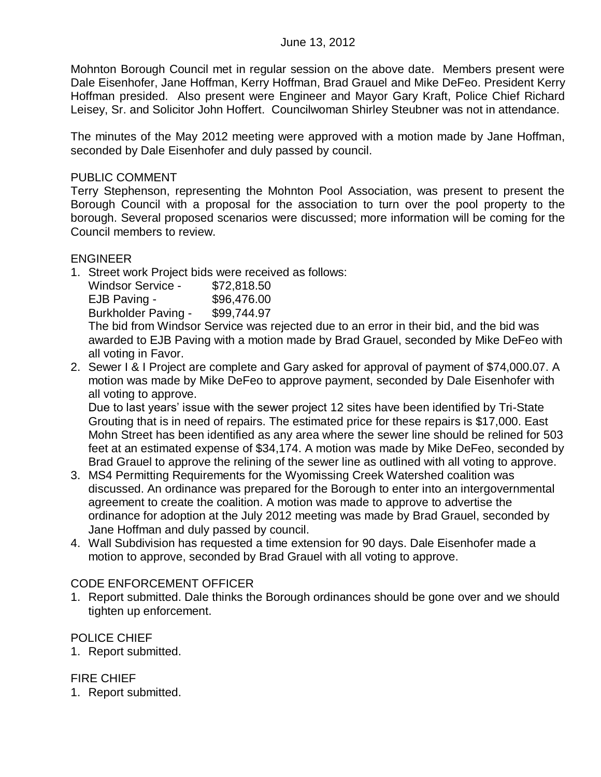Mohnton Borough Council met in regular session on the above date. Members present were Dale Eisenhofer, Jane Hoffman, Kerry Hoffman, Brad Grauel and Mike DeFeo. President Kerry Hoffman presided. Also present were Engineer and Mayor Gary Kraft, Police Chief Richard Leisey, Sr. and Solicitor John Hoffert. Councilwoman Shirley Steubner was not in attendance.

The minutes of the May 2012 meeting were approved with a motion made by Jane Hoffman, seconded by Dale Eisenhofer and duly passed by council.

#### PUBLIC COMMENT

Terry Stephenson, representing the Mohnton Pool Association, was present to present the Borough Council with a proposal for the association to turn over the pool property to the borough. Several proposed scenarios were discussed; more information will be coming for the Council members to review.

#### ENGINEER

1. Street work Project bids were received as follows:

| <b>Windsor Service -</b>          | \$72,818.50 |
|-----------------------------------|-------------|
| EJB Paving -                      | \$96,476.00 |
| <b>Burkholder Paving -</b>        | \$99,744.97 |
| The hid from Windoor Cangoo was r |             |

The bid from Windsor Service was rejected due to an error in their bid, and the bid was awarded to EJB Paving with a motion made by Brad Grauel, seconded by Mike DeFeo with all voting in Favor.

2. Sewer I & I Project are complete and Gary asked for approval of payment of \$74,000.07. A motion was made by Mike DeFeo to approve payment, seconded by Dale Eisenhofer with all voting to approve.

Due to last years' issue with the sewer project 12 sites have been identified by Tri-State Grouting that is in need of repairs. The estimated price for these repairs is \$17,000. East Mohn Street has been identified as any area where the sewer line should be relined for 503 feet at an estimated expense of \$34,174. A motion was made by Mike DeFeo, seconded by Brad Grauel to approve the relining of the sewer line as outlined with all voting to approve.

- 3. MS4 Permitting Requirements for the Wyomissing Creek Watershed coalition was discussed. An ordinance was prepared for the Borough to enter into an intergovernmental agreement to create the coalition. A motion was made to approve to advertise the ordinance for adoption at the July 2012 meeting was made by Brad Grauel, seconded by Jane Hoffman and duly passed by council.
- 4. Wall Subdivision has requested a time extension for 90 days. Dale Eisenhofer made a motion to approve, seconded by Brad Grauel with all voting to approve.

#### CODE ENFORCEMENT OFFICER

1. Report submitted. Dale thinks the Borough ordinances should be gone over and we should tighten up enforcement.

## POLICE CHIEF

1. Report submitted.

## FIRE CHIEF

1. Report submitted.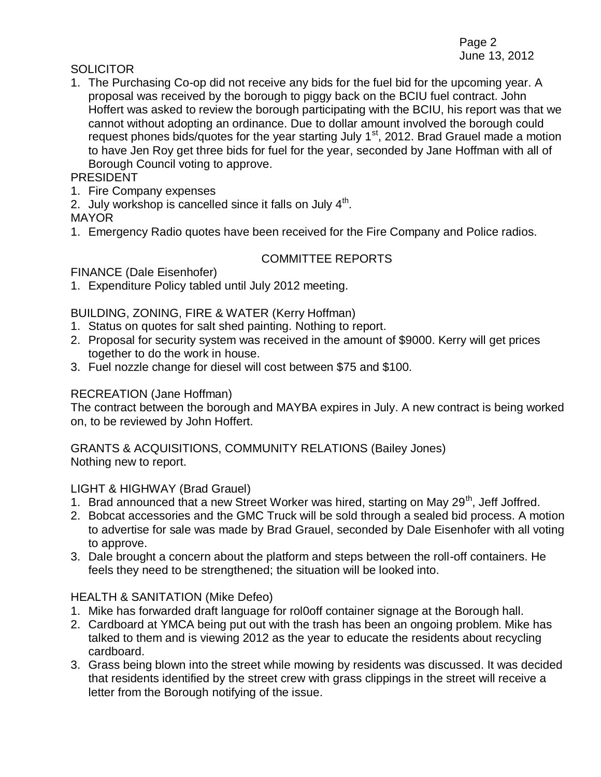#### **SOLICITOR**

1. The Purchasing Co-op did not receive any bids for the fuel bid for the upcoming year. A proposal was received by the borough to piggy back on the BCIU fuel contract. John Hoffert was asked to review the borough participating with the BCIU, his report was that we cannot without adopting an ordinance. Due to dollar amount involved the borough could request phones bids/quotes for the year starting July 1<sup>st</sup>, 2012. Brad Grauel made a motion to have Jen Roy get three bids for fuel for the year, seconded by Jane Hoffman with all of Borough Council voting to approve.

## PRESIDENT

- 1. Fire Company expenses
- 2. July workshop is cancelled since it falls on July  $4<sup>th</sup>$ .

MAYOR

1. Emergency Radio quotes have been received for the Fire Company and Police radios.

# COMMITTEE REPORTS

FINANCE (Dale Eisenhofer)

1. Expenditure Policy tabled until July 2012 meeting.

## BUILDING, ZONING, FIRE & WATER (Kerry Hoffman)

- 1. Status on quotes for salt shed painting. Nothing to report.
- 2. Proposal for security system was received in the amount of \$9000. Kerry will get prices together to do the work in house.
- 3. Fuel nozzle change for diesel will cost between \$75 and \$100.

# RECREATION (Jane Hoffman)

The contract between the borough and MAYBA expires in July. A new contract is being worked on, to be reviewed by John Hoffert.

GRANTS & ACQUISITIONS, COMMUNITY RELATIONS (Bailey Jones) Nothing new to report.

## LIGHT & HIGHWAY (Brad Grauel)

- 1. Brad announced that a new Street Worker was hired, starting on May  $29<sup>th</sup>$ , Jeff Joffred.
- 2. Bobcat accessories and the GMC Truck will be sold through a sealed bid process. A motion to advertise for sale was made by Brad Grauel, seconded by Dale Eisenhofer with all voting to approve.
- 3. Dale brought a concern about the platform and steps between the roll-off containers. He feels they need to be strengthened; the situation will be looked into.

## HEALTH & SANITATION (Mike Defeo)

- 1. Mike has forwarded draft language for rol0off container signage at the Borough hall.
- 2. Cardboard at YMCA being put out with the trash has been an ongoing problem. Mike has talked to them and is viewing 2012 as the year to educate the residents about recycling cardboard.
- 3. Grass being blown into the street while mowing by residents was discussed. It was decided that residents identified by the street crew with grass clippings in the street will receive a letter from the Borough notifying of the issue.